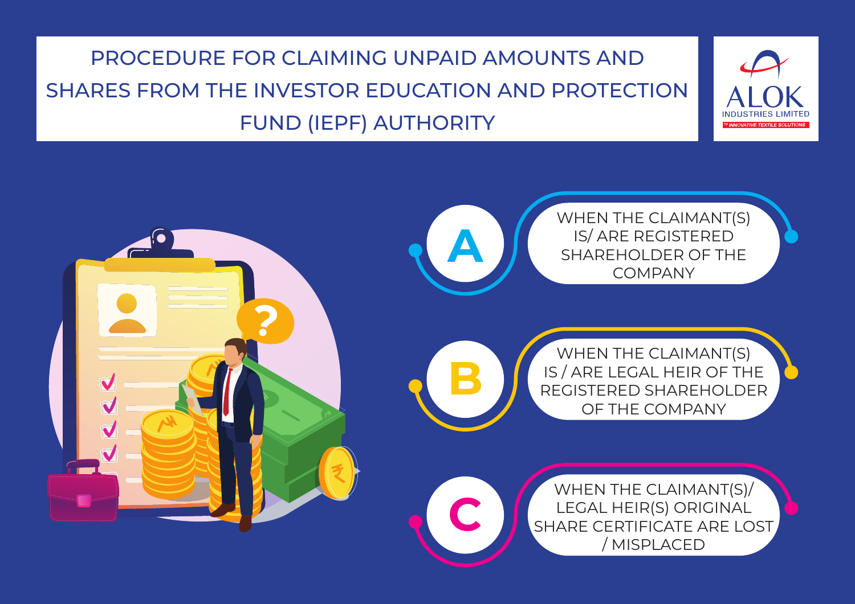### PROCEDURE FOR CLAIMING UNPAID AMOUNTS AND SHARES FROM THE INVESTOR EDUCATION AND PROTECTION FUND (IEPF) AUTHORITY

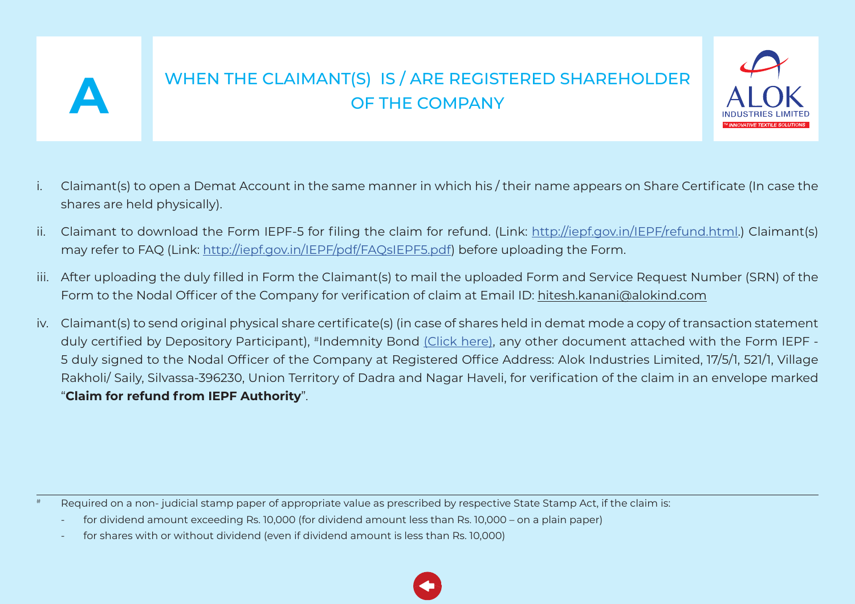<span id="page-1-0"></span>

# WHEN THE CLAIMANT(S) IS / ARE REGISTERED SHAREHOLDER<br>OF THE COMPANY



- i. Claimant(s) to open a Demat Account in the same manner in which his / their name appears on Share Certificate (In case the shares are held physically).
- ii. Claimant to download the Form IEPF-5 for filing the claim for refund. (Link: [http://iepf.gov.in/IEPF/refund.html.](http://iepf.gov.in/IEPF/refund.html)) Claimant(s) may refer to FAQ (Link: <http://iepf.gov.in/IEPF/pdf/FAQsIEPF5.pdf>) before uploading the Form.
- iii. After uploading the duly filled in Form the Claimant(s) to mail the uploaded Form and Service Request Number (SRN) of the Form to the Nodal Officer of the Company for verification of claim at Email ID: hitesh.kanani@alokind.com
- iv. Claimant(s) to send original physical share certificate(s) (in case of shares held in demat mode a copy of transaction statement duly certified by Depository Participant), #Indemnity Bond [\(Click here\)](http://alokind.com/Downloads/WEB/A/bond.docx), any other document attached with the Form IEPF -5 duly signed to the Nodal Officer of the Company at Registered Office Address: Alok Industries Limited, 17/5/1, 521/1, Village Rakholi/ Saily, Silvassa-396230, Union Territory of Dadra and Nagar Haveli, for verification of the claim in an envelope marked "**Claim for refund from IEPF Authority**".

Required on a non- judicial stamp paper of appropriate value as prescribed by respective State Stamp Act, if the claim is:

for dividend amount exceeding Rs. 10,000 (for dividend amount less than Rs. 10,000 – on a plain paper)

for shares with or without dividend (even if dividend amount is less than Rs. 10,000)

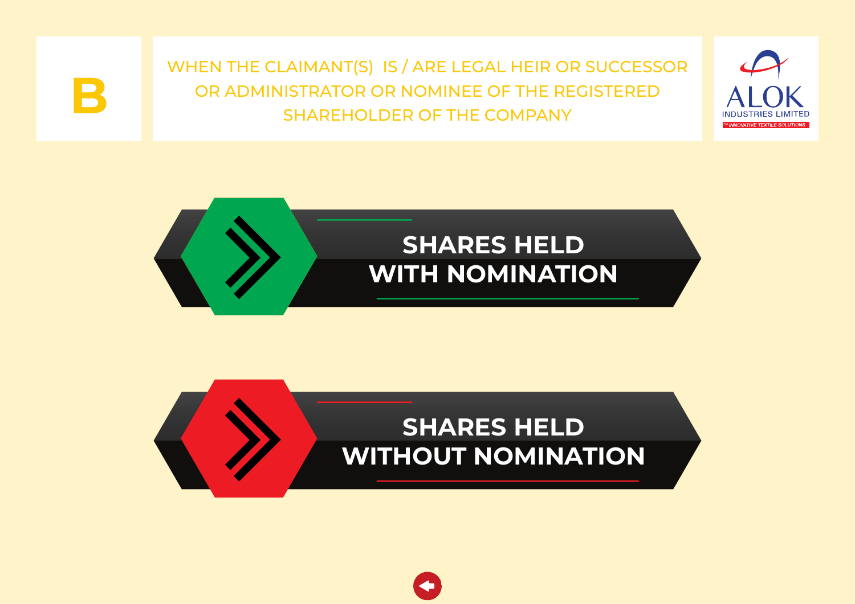

<span id="page-2-0"></span>WHEN THE CLAIMANT(S) IS / ARE LEGAL HEIR OR SUCCESSOR OR ADMINISTRATOR OR NOMINEE OF THE REGISTERED **B** SHAREHOLDER OF THE COMPANY





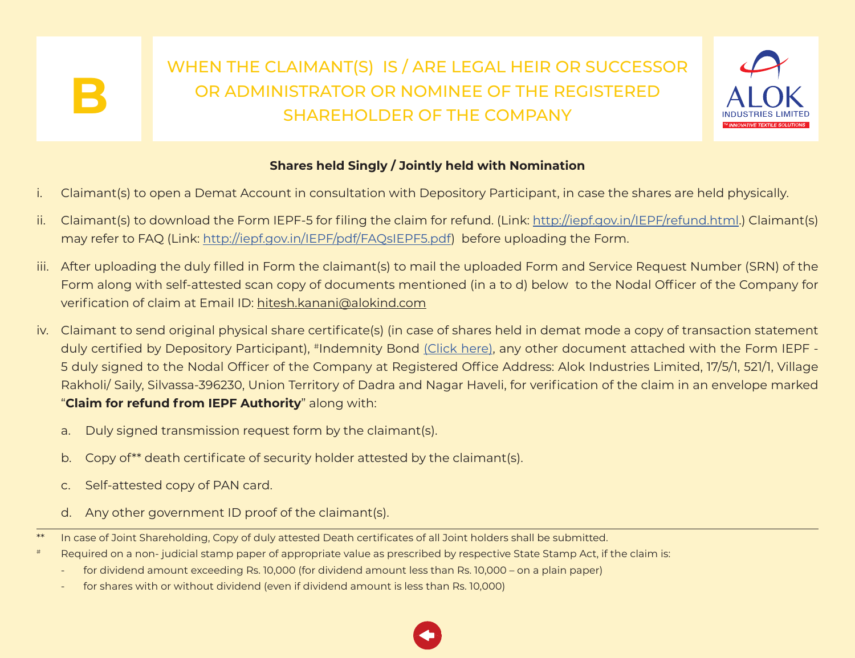

### **Shares held Singly / Jointly held with Nomination**

- <span id="page-3-0"></span>i. Claimant(s) to open a Demat Account in consultation with Depository Participant, in case the shares are held physically.
- ii. Claimant(s) to download the Form IEPF-5 for filing the claim for refund. (Link: [http://iepf.gov.in/IEPF/refund.html.](http://iepf.gov.in/IEPF/refund.html)) Claimant(s) may refer to FAQ (Link: <http://iepf.gov.in/IEPF/pdf/FAQsIEPF5.pdf>) before uploading the Form.
- iii. After uploading the duly filled in Form the claimant(s) to mail the uploaded Form and Service Request Number (SRN) of the Form along with self-attested scan copy of documents mentioned (in a to d) below to the Nodal Officer of the Company for verification of claim at Email ID: hitesh.kanani@alokind.com
- iv. Claimant to send original physical share certificate(s) (in case of shares held in demat mode a copy of transaction statement duly certified by Depository Participant), #Indemnity Bond [\(Click here\)](http://alokind.com/Downloads/WEB/B/bond.docx), any other document attached with the Form IEPF -5 duly signed to the Nodal Officer of the Company at Registered Office Address: Alok Industries Limited, 17/5/1, 521/1, Village Rakholi/ Saily, Silvassa-396230, Union Territory of Dadra and Nagar Haveli, for verification of the claim in an envelope marked "**Claim for refund from IEPF Authority**" along with:
	- a. Duly signed transmission request form by the claimant(s).
	- b. Copy of\*\* death certificate of security holder attested by the claimant(s).
	- c. Self-attested copy of PAN card.
	- d. Any other government ID proof of the claimant(s).
- \*\* In case of Joint Shareholding, Copy of duly attested Death certificates of all Joint holders shall be submitted.
- # Required on a non- judicial stamp paper of appropriate value as prescribed by respective State Stamp Act, if the claim is:
	- for dividend amount exceeding Rs. 10,000 (for dividend amount less than Rs. 10,000 on a plain paper)
	- for shares with or without dividend (even if dividend amount is less than Rs. 10,000)

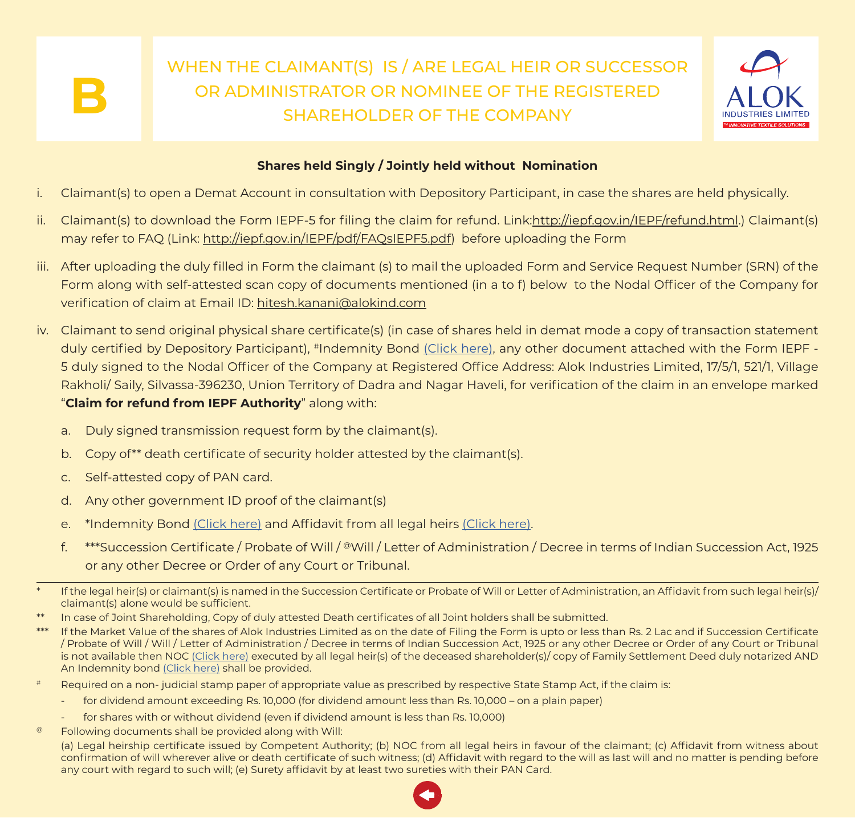## <span id="page-4-0"></span>WHEN THE CLAIMANT(S) IS / ARE LEGAL HEIR OR SUCCESSOR OR ADMINISTRATOR OR NOMINEE OF THE REGISTERED<br>SHAREHOLDER OF THE COMPANY



### **Shares held Singly / Jointly held without Nomination**

- i. Claimant(s) to open a Demat Account in consultation with Depository Participant, in case the shares are held physically.
- ii. Claimant(s) to download the Form IEPF-5 for filing the claim for refund. Link:http://iepf.gov.in/IEPF/refund.html.) Claimant(s) may refer to FAQ (Link: http://iepf.gov.in/IEPF/pdf/FAQsIEPF5.pdf) before uploading the Form
- iii. After uploading the duly filled in Form the claimant (s) to mail the uploaded Form and Service Request Number (SRN) of the Form along with self-attested scan copy of documents mentioned (in a to f) below to the Nodal Officer of the Company for verification of claim at Email ID: hitesh.kanani@alokind.com
- iv. Claimant to send original physical share certificate(s) (in case of shares held in demat mode a copy of transaction statement duly certified by Depository Participant), #Indemnity Bond [\(Click here\)](http://alokind.com/Downloads/WEB/BW/bond.docx), any other document attached with the Form IEPF - 5 duly signed to the Nodal Officer of the Company at Registered Office Address: Alok Industries Limited, 17/5/1, 521/1, Village Rakholi/ Saily, Silvassa-396230, Union Territory of Dadra and Nagar Haveli, for verification of the claim in an envelope marked "**Claim for refund from IEPF Authority**" along with:
	- a. Duly signed transmission request form by the claimant(s).
	- b. Copy of\*\* death certificate of security holder attested by the claimant(s).
	- c. Self-attested copy of PAN card.
	- d. Any other government ID proof of the claimant(s)
	- e. \*Indemnity Bond [\(Click here\)](http://alokind.com/Downloads/WEB/BW/TIBond.doc) and Affidavit from all legal heirs [\(Click here\).](http://alokind.com/Downloads/WEB/BW/Affidavit.doc)
	- f. \*\*\*Succession Certificate / Probate of Will / @Will / Letter of Administration / Decree in terms of Indian Succession Act, 1925 or any other Decree or Order of any Court or Tribunal.
- If the legal heir(s) or claimant(s) is named in the Succession Certificate or Probate of Will or Letter of Administration, an Affidavit from such legal heir(s)/ claimant(s) alone would be sufficient.
- In case of Joint Shareholding, Copy of duly attested Death certificates of all Joint holders shall be submitted.
- \*\*\* If the Market Value of the shares of Alok Industries Limited as on the date of Filing the Form is upto or less than Rs. 2 Lac and if Succession Certificate / Probate of Will / Will / Letter of Administration / Decree in terms of Indian Succession Act, 1925 or any other Decree or Order of any Court or Tribunal is not available then NOC [\(Click here\)](http://alokind.com/Downloads/WEB/BW/NOC.doc) executed by all legal heir(s) of the deceased shareholder(s)/ copy of Family Settlement Deed duly notarized AND An Indemnity bond [\(Click here\)](http://alokind.com/Downloads/WEB/BW/TIBond.doc) shall be provided.
- # Required on a non- judicial stamp paper of appropriate value as prescribed by respective State Stamp Act, if the claim is:
	- for dividend amount exceeding Rs. 10,000 (for dividend amount less than Rs. 10,000 on a plain paper)
	- for shares with or without dividend (even if dividend amount is less than Rs. 10,000)
- @ Following documents shall be provided along with Will:

 (a) Legal heirship certificate issued by Competent Authority; (b) NOC from all legal heirs in favour of the claimant; (c) Affidavit from witness about confirmation of will wherever alive or death certificate of such witness; (d) Affidavit with regard to the will as last will and no matter is pending before any court with regard to such will; (e) Surety affidavit by at least two sureties with their PAN Card.

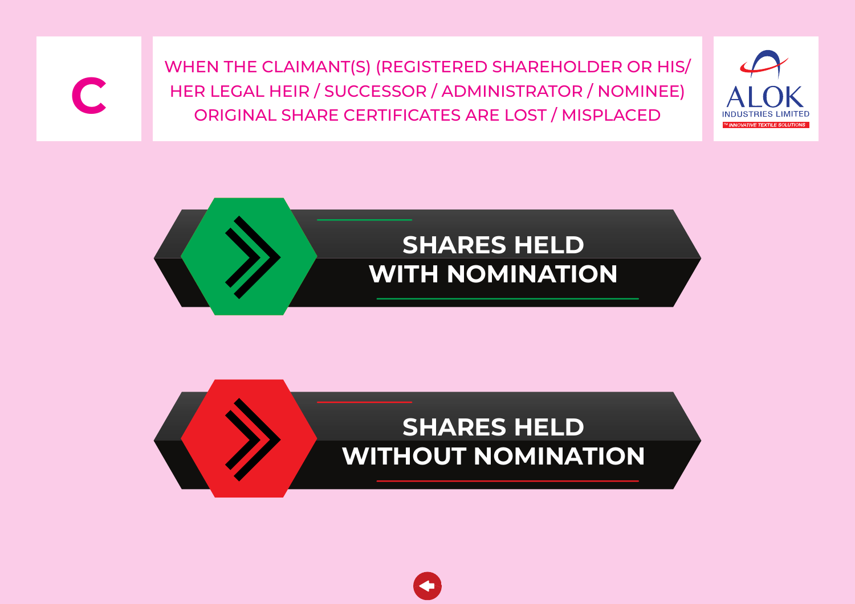<span id="page-5-0"></span>WHEN THE CLAIMANT(S) (REGISTERED SHAREHOLDER OR HIS/ HER LEGAL HEIR / SUCCESSOR / ADMINISTRATOR / NOMINEE)<br>ORIGINAL SHARE CERTIFICATES ARE LOST / MISPLACED







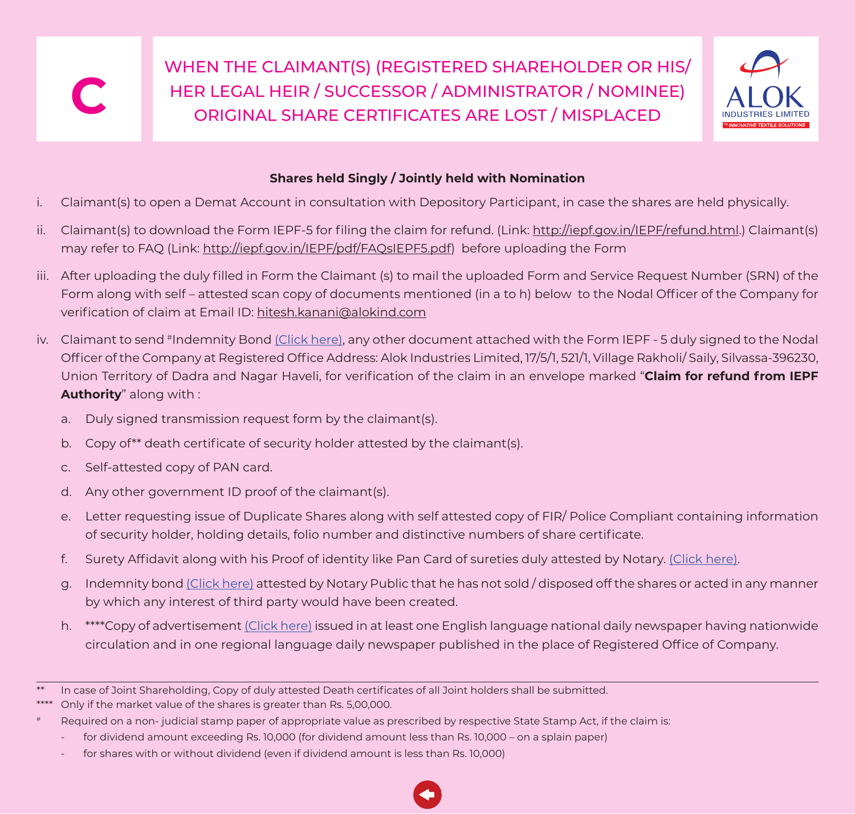<span id="page-6-0"></span>WHEN THE CLAIMANT(S) (REGISTERED SHAREHOLDER OR HIS/ HER LEGAL HEIR / SUCCESSOR / ADMINISTRATOR / NOMINEE)<br>ORIGINAL SHARE CERTIFICATES ARE LOST / MISPLACED



### **Shares held Singly / Jointly held with Nomination**

- i. Claimant(s) to open a Demat Account in consultation with Depository Participant, in case the shares are held physically.
- ii. Claimant(s) to download the Form IEPF-5 for filing the claim for refund. (Link: http://iepf.gov.in/IEPF/refund.html.) Claimant(s) may refer to FAQ (Link: http://iepf.gov.in/IEPF/pdf/FAQsIEPF5.pdf) before uploading the Form
- iii. After uploading the duly filled in Form the Claimant (s) to mail the uploaded Form and Service Request Number (SRN) of the Form along with self – attested scan copy of documents mentioned (in a to h) below to the Nodal Officer of the Company for verification of claim at Email ID: hitesh.kanani@alokind.com
- iv. Claimant to send #Indemnity Bond [\(Click here\)](http://alokind.com/Downloads/WEB/C/bond.docx), any other document attached with the Form IEPF 5 duly signed to the Nodal Officer of the Company at Registered Office Address: Alok Industries Limited, 17/5/1, 521/1, Village Rakholi/ Saily, Silvassa-396230, Union Territory of Dadra and Nagar Haveli, for verification of the claim in an envelope marked "**Claim for refund from IEPF Authority**" along with :
	- a. Duly signed transmission request form by the claimant(s).
	- b. Copy of\*\* death certificate of security holder attested by the claimant(s).
	- c. Self-attested copy of PAN card.
	- d. Any other government ID proof of the claimant(s).
	- e. Letter requesting issue of Duplicate Shares along with self attested copy of FIR/ Police Compliant containing information of security holder, holding details, folio number and distinctive numbers of share certificate.
	- f. Surety Affidavit along with his Proof of identity like Pan Card of sureties duly attested by Notary. [\(Click here\)](http://alokind.com/Downloads/WEB/C/SAIDS.doc).
	- g. Indemnity bond [\(Click here\)](http://alokind.com/Downloads/WEB/C/IBIDSC.docx) attested by Notary Public that he has not sold / disposed off the shares or acted in any manner by which any interest of third party would have been created.
	- h. \*\*\*\*Copy of advertisement [\(Click here\)](http://alokind.com/Downloads/WEB/C/LSC.doc) issued in at least one English language national daily newspaper having nationwide circulation and in one regional language daily newspaper published in the place of Registered Office of Company.

for shares with or without dividend (even if dividend amount is less than Rs. 10,000)



In case of Joint Shareholding, Copy of duly attested Death certificates of all Joint holders shall be submitted.

<sup>\*\*\*\*</sup> Only if the market value of the shares is greater than Rs. 5,00,000.

Required on a non- judicial stamp paper of appropriate value as prescribed by respective State Stamp Act, if the claim is:

for dividend amount exceeding Rs. 10,000 (for dividend amount less than Rs. 10,000 – on a splain paper)